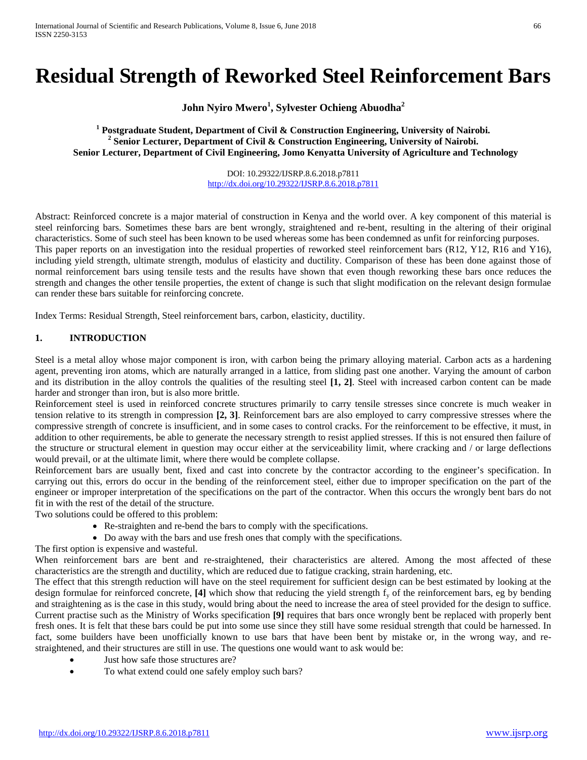# **Residual Strength of Reworked Steel Reinforcement Bars**

**John Nyiro Mwero<sup>1</sup> , Sylvester Ochieng Abuodha2**

<sup>1</sup> Postgraduate Student, Department of Civil & Construction Engineering, University of Nairobi.<br><sup>2</sup> Senior Lecturer, Department of Civil & Construction Engineering, University of Nairobi. **Senior Lecturer, Department of Civil Engineering, Jomo Kenyatta University of Agriculture and Technology**

> DOI: 10.29322/IJSRP.8.6.2018.p7811 <http://dx.doi.org/10.29322/IJSRP.8.6.2018.p7811>

Abstract: Reinforced concrete is a major material of construction in Kenya and the world over. A key component of this material is steel reinforcing bars. Sometimes these bars are bent wrongly, straightened and re-bent, resulting in the altering of their original characteristics. Some of such steel has been known to be used whereas some has been condemned as unfit for reinforcing purposes. This paper reports on an investigation into the residual properties of reworked steel reinforcement bars (R12, Y12, R16 and Y16), including yield strength, ultimate strength, modulus of elasticity and ductility. Comparison of these has been done against those of normal reinforcement bars using tensile tests and the results have shown that even though reworking these bars once reduces the strength and changes the other tensile properties, the extent of change is such that slight modification on the relevant design formulae can render these bars suitable for reinforcing concrete.

Index Terms: Residual Strength, Steel reinforcement bars, carbon, elasticity, ductility.

## **1. INTRODUCTION**

Steel is a metal alloy whose major component is iron, with carbon being the primary alloying material. Carbon acts as a hardening agent, preventing iron atoms, which are naturally arranged in a lattice, from sliding past one another. Varying the amount of carbon and its distribution in the alloy controls the qualities of the resulting steel **[1, 2]**. Steel with increased carbon content can be made harder and stronger than iron, but is also more brittle.

Reinforcement steel is used in reinforced concrete structures primarily to carry tensile stresses since concrete is much weaker in tension relative to its strength in compression **[2, 3]**. Reinforcement bars are also employed to carry compressive stresses where the compressive strength of concrete is insufficient, and in some cases to control cracks. For the reinforcement to be effective, it must, in addition to other requirements, be able to generate the necessary strength to resist applied stresses. If this is not ensured then failure of the structure or structural element in question may occur either at the serviceability limit, where cracking and / or large deflections would prevail, or at the ultimate limit, where there would be complete collapse.

Reinforcement bars are usually bent, fixed and cast into concrete by the contractor according to the engineer's specification. In carrying out this, errors do occur in the bending of the reinforcement steel, either due to improper specification on the part of the engineer or improper interpretation of the specifications on the part of the contractor. When this occurs the wrongly bent bars do not fit in with the rest of the detail of the structure.

Two solutions could be offered to this problem:

- Re-straighten and re-bend the bars to comply with the specifications.
- Do away with the bars and use fresh ones that comply with the specifications.
- The first option is expensive and wasteful.

When reinforcement bars are bent and re-straightened, their characteristics are altered. Among the most affected of these characteristics are the strength and ductility, which are reduced due to fatigue cracking, strain hardening, etc.

The effect that this strength reduction will have on the steel requirement for sufficient design can be best estimated by looking at the design formulae for reinforced concrete, [4] which show that reducing the yield strength f<sub>y</sub> of the reinforcement bars, eg by bending and straightening as is the case in this study, would bring about the need to increase the area of steel provided for the design to suffice. Current practise such as the Ministry of Works specification **[9]** requires that bars once wrongly bent be replaced with properly bent fresh ones. It is felt that these bars could be put into some use since they still have some residual strength that could be harnessed. In fact, some builders have been unofficially known to use bars that have been bent by mistake or, in the wrong way, and restraightened, and their structures are still in use. The questions one would want to ask would be:

- Just how safe those structures are?
- To what extend could one safely employ such bars?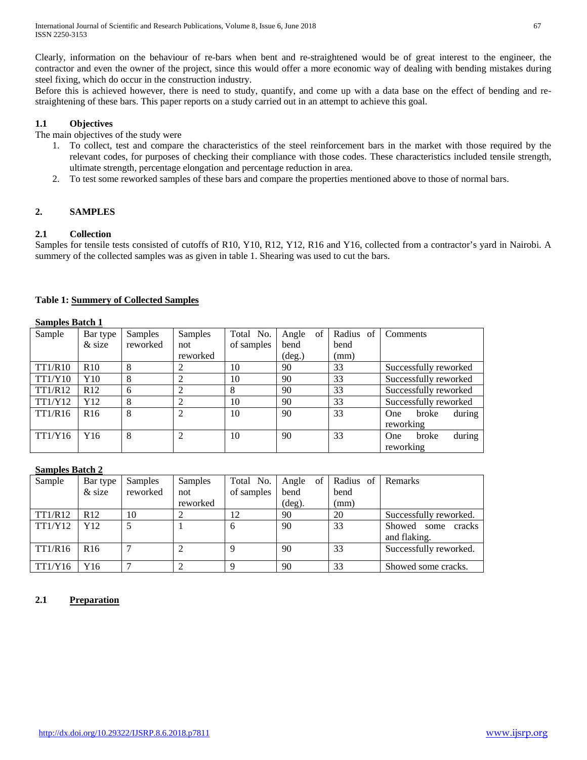Clearly, information on the behaviour of re-bars when bent and re-straightened would be of great interest to the engineer, the contractor and even the owner of the project, since this would offer a more economic way of dealing with bending mistakes during steel fixing, which do occur in the construction industry.

Before this is achieved however, there is need to study, quantify, and come up with a data base on the effect of bending and restraightening of these bars. This paper reports on a study carried out in an attempt to achieve this goal.

# **1.1 Objectives**

The main objectives of the study were

- 1. To collect, test and compare the characteristics of the steel reinforcement bars in the market with those required by the relevant codes, for purposes of checking their compliance with those codes. These characteristics included tensile strength, ultimate strength, percentage elongation and percentage reduction in area.
- 2. To test some reworked samples of these bars and compare the properties mentioned above to those of normal bars.

# **2. SAMPLES**

# **2.1 Collection**

Samples for tensile tests consisted of cutoffs of R10, Y10, R12, Y12, R16 and Y16, collected from a contractor's yard in Nairobi. A summery of the collected samples was as given in table 1. Shearing was used to cut the bars.

|  | <b>Table 1: Summery of Collected Samples</b> |  |  |  |
|--|----------------------------------------------|--|--|--|
|--|----------------------------------------------|--|--|--|

# **Samples Batch 1**

| $\sim$ which $\sim$ $\sim$ $\sim$ $\sim$ $\sim$ $\sim$ $\sim$ |                 |          |                |            |                 |           |                               |
|---------------------------------------------------------------|-----------------|----------|----------------|------------|-----------------|-----------|-------------------------------|
| Sample                                                        | Bar type        | Samples  | <b>Samples</b> | Total No.  | of<br>Angle     | Radius of | Comments                      |
|                                                               | $&$ size        | reworked | not            | of samples | bend            | bend      |                               |
|                                                               |                 |          | reworked       |            | $(\text{deg.})$ | (mm)      |                               |
| <b>TT1/R10</b>                                                | R10             | 8        | 2              | 10         | 90              | 33        | Successfully reworked         |
| TT1/Y10                                                       | Y10             | 8        | ↑              | 10         | 90              | 33        | Successfully reworked         |
| TT1/R12                                                       | R <sub>12</sub> | 6        | 2              | 8          | 90              | 33        | Successfully reworked         |
| <b>TT1/Y12</b>                                                | Y12             | 8        | ↑              | 10         | 90              | 33        | Successfully reworked         |
| <b>TT1/R16</b>                                                | R <sub>16</sub> | 8        | $\overline{2}$ | 10         | 90              | 33        | during<br>broke<br><b>One</b> |
|                                                               |                 |          |                |            |                 |           | reworking                     |
| TT1/Y16                                                       | Y16             | 8        | $\overline{2}$ | 10         | 90              | 33        | during<br>broke<br>One        |
|                                                               |                 |          |                |            |                 |           | reworking                     |

# **Samples Batch 2**

| Sample         | Bar type        | Samples  | Samples  | Total No.  | of 1<br>Angle   | Radius of | Remarks                |
|----------------|-----------------|----------|----------|------------|-----------------|-----------|------------------------|
|                | $&$ size        | reworked | not      | of samples | bend            | bend      |                        |
|                |                 |          | reworked |            | $(\text{deg}).$ | (mm)      |                        |
| <b>TT1/R12</b> | R <sub>12</sub> | 10       |          | 12         | 90              | 20        | Successfully reworked. |
| <b>TT1/Y12</b> | Y12             |          |          | b          | 90              | 33        | Showed some<br>cracks  |
|                |                 |          |          |            |                 |           | and flaking.           |
| TT1/R16        | R <sub>16</sub> |          |          |            | 90              | 33        | Successfully reworked. |
|                |                 |          |          |            |                 |           |                        |
| TT1/Y16        | Y16             |          |          |            | 90              | 33        | Showed some cracks.    |

# **2.1 Preparation**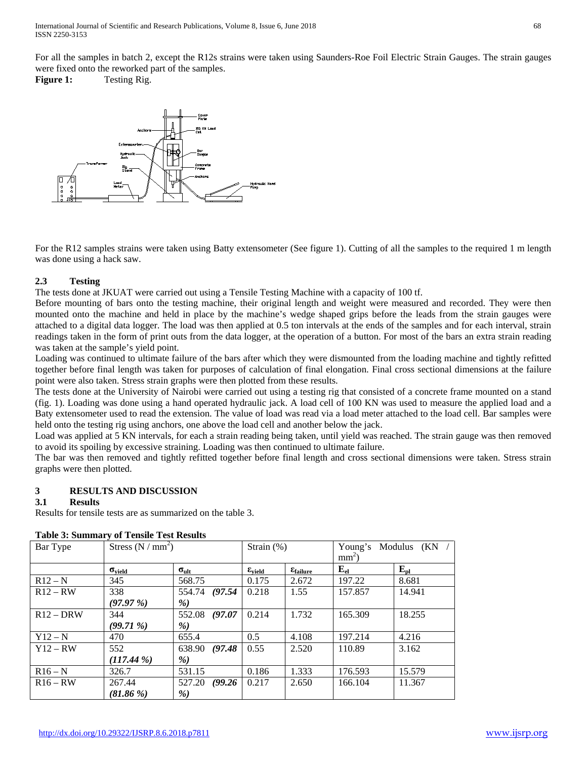For all the samples in batch 2, except the R12s strains were taken using Saunders-Roe Foil Electric Strain Gauges. The strain gauges were fixed onto the reworked part of the samples.

**Figure 1:** Testing Rig.



For the R12 samples strains were taken using Batty extensometer (See figure 1). Cutting of all the samples to the required 1 m length was done using a hack saw.

## **2.3 Testing**

The tests done at JKUAT were carried out using a Tensile Testing Machine with a capacity of 100 tf.

Before mounting of bars onto the testing machine, their original length and weight were measured and recorded. They were then mounted onto the machine and held in place by the machine's wedge shaped grips before the leads from the strain gauges were attached to a digital data logger. The load was then applied at 0.5 ton intervals at the ends of the samples and for each interval, strain readings taken in the form of print outs from the data logger, at the operation of a button. For most of the bars an extra strain reading was taken at the sample's yield point.

Loading was continued to ultimate failure of the bars after which they were dismounted from the loading machine and tightly refitted together before final length was taken for purposes of calculation of final elongation. Final cross sectional dimensions at the failure point were also taken. Stress strain graphs were then plotted from these results.

The tests done at the University of Nairobi were carried out using a testing rig that consisted of a concrete frame mounted on a stand (fig. 1). Loading was done using a hand operated hydraulic jack. A load cell of 100 KN was used to measure the applied load and a Baty extensometer used to read the extension. The value of load was read via a load meter attached to the load cell. Bar samples were held onto the testing rig using anchors, one above the load cell and another below the jack.

Load was applied at 5 KN intervals, for each a strain reading being taken, until yield was reached. The strain gauge was then removed to avoid its spoiling by excessive straining. Loading was then continued to ultimate failure.

The bar was then removed and tightly refitted together before final length and cross sectional dimensions were taken. Stress strain graphs were then plotted.

# **3 RESULTS AND DISCUSSION**

# **3.1 Results**

Results for tensile tests are as summarized on the table 3.

| Table 9: Buillings vi Tensile Test Results |                      |                   |                           |                          |                                  |              |
|--------------------------------------------|----------------------|-------------------|---------------------------|--------------------------|----------------------------------|--------------|
| Bar Type                                   | Stress $(N / mm^2)$  |                   | Strain $(\%)$             |                          | Young's Modulus (KN /<br>$mm2$ ) |              |
|                                            |                      |                   |                           |                          |                                  |              |
|                                            | $\sigma_{\rm yield}$ | $\sigma_{ult}$    | $\varepsilon_{\rm yield}$ | $\epsilon_{\rm failure}$ | $E_{el}$                         | $E_{\rm pl}$ |
| $R12 - N$                                  | 345                  | 568.75            | 0.175                     | 2.672                    | 197.22                           | 8.681        |
| $R12 - RW$                                 | 338                  | 554.74 (97.54)    | 0.218                     | 1.55                     | 157.857                          | 14.941       |
|                                            | (97.97%)             | %                 |                           |                          |                                  |              |
| $R12 - DRW$                                | 344                  | 552.08<br>(97.07) | 0.214                     | 1.732                    | 165.309                          | 18.255       |
|                                            | $(99.71\%)$          | %                 |                           |                          |                                  |              |
| $Y12-N$                                    | 470                  | 655.4             | 0.5                       | 4.108                    | 197.214                          | 4.216        |
| $Y12 - RW$                                 | 552                  | 638.90 (97.48)    | 0.55                      | 2.520                    | 110.89                           | 3.162        |
|                                            | $(117.44\%)$         | %                 |                           |                          |                                  |              |
| $R16 - N$                                  | 326.7                | 531.15            | 0.186                     | 1.333                    | 176.593                          | 15.579       |
| $R16 - RW$                                 | 267.44               | 527.20<br>(99.26) | 0.217                     | 2.650                    | 166.104                          | 11.367       |
|                                            | $(81.86\%)$          | %)                |                           |                          |                                  |              |

# **Table 3: Summary of Tensile Test Results**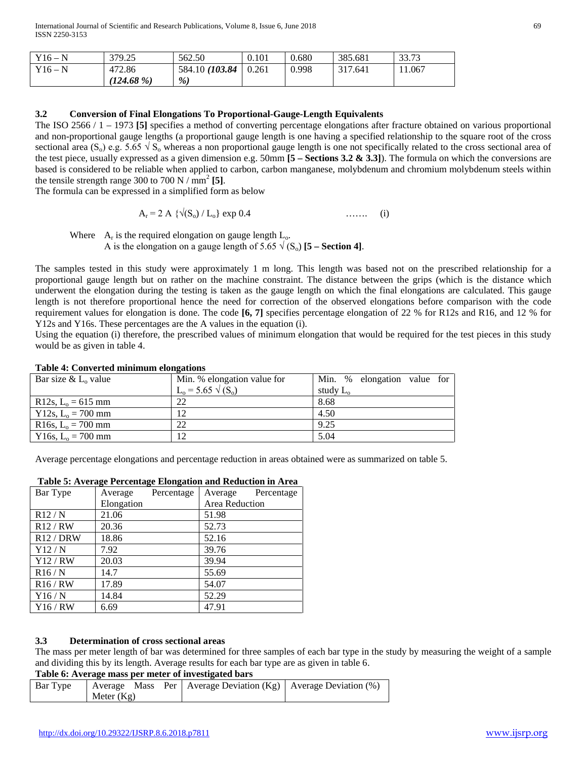| $Y16-N$ | 379.25       | 562.50          | 0.101 | 0.680 | 385.681 | 33.73 |
|---------|--------------|-----------------|-------|-------|---------|-------|
| $Y16-N$ | 472.86       | 584.10 (103.84) | 0.261 | 0.998 | 317.641 | 1.067 |
|         | $(124.68\%)$ | %               |       |       |         |       |

## **3.2 Conversion of Final Elongations To Proportional-Gauge-Length Equivalents**

The ISO 2566 / 1 – 1973 **[5]** specifies a method of converting percentage elongations after fracture obtained on various proportional and non-proportional gauge lengths (a proportional gauge length is one having a specified relationship to the square root of the cross sectional area (S<sub>o</sub>) e.g. 5.65  $\sqrt{S_0}$  whereas a non proportional gauge length is one not specifically related to the cross sectional area of the test piece, usually expressed as a given dimension e.g. 50mm **[5 – Sections 3.2 & 3.3]**). The formula on which the conversions are based is considered to be reliable when applied to carbon, carbon manganese, molybdenum and chromium molybdenum steels within the tensile strength range 300 to 700 N  $/$  mm<sup>2</sup> [5].

The formula can be expressed in a simplified form as below

$$
A_r = 2 A \{ \sqrt{(S_0) / L_0} \} \exp{0.4}
$$
 ...... (i)

Where  $A_r$  is the required elongation on gauge length  $L_o$ .

A is the elongation on a gauge length of 5.65  $\sqrt{(S_0)}$  [5 – **Section 4**].

The samples tested in this study were approximately 1 m long. This length was based not on the prescribed relationship for a proportional gauge length but on rather on the machine constraint. The distance between the grips (which is the distance which underwent the elongation during the testing is taken as the gauge length on which the final elongations are calculated. This gauge length is not therefore proportional hence the need for correction of the observed elongations before comparison with the code requirement values for elongation is done. The code **[6, 7]** specifies percentage elongation of 22 % for R12s and R16, and 12 % for Y12s and Y16s. These percentages are the A values in the equation (i).

Using the equation (i) therefore, the prescribed values of minimum elongation that would be required for the test pieces in this study would be as given in table 4.

| Bar size & $L_0$ value                     | Min. % elongation value for | Min. % elongation value for |
|--------------------------------------------|-----------------------------|-----------------------------|
|                                            | $L_0 = 5.65 \sqrt{S_0}$     | study $L_{o}$               |
| R12s, $L_0 = 615$ mm                       | 22                          | 8.68                        |
| Y 12s, $L_0 = 700$ mm                      | 12                          | 4.50                        |
| R <sub>16s</sub> , L <sub>o</sub> = 700 mm | 22                          | 9.25                        |
| Y 16s, $L_0 = 700$ mm                      | 12                          | 5.04                        |

## **Table 4: Converted minimum elongations**

Average percentage elongations and percentage reduction in areas obtained were as summarized on table 5.

| Bar Type  | Average    | Percentage | Average        | Percentage |
|-----------|------------|------------|----------------|------------|
|           | Elongation |            | Area Reduction |            |
| R12/N     | 21.06      |            | 51.98          |            |
| R12/RW    | 20.36      |            | 52.73          |            |
| R12 / DRW | 18.86      |            | 52.16          |            |
| Y12/N     | 7.92       |            | 39.76          |            |
| Y12/RW    | 20.03      |            | 39.94          |            |
| R16/N     | 14.7       |            | 55.69          |            |
| R16/RW    | 17.89      |            | 54.07          |            |
| Y16/N     | 14.84      |            | 52.29          |            |
| Y16/RW    | 6.69       |            | 47.91          |            |

### **Table 5: Average Percentage Elongation and Reduction in Area**

### **3.3 Determination of cross sectional areas**

The mass per meter length of bar was determined for three samples of each bar type in the study by measuring the weight of a sample and dividing this by its length. Average results for each bar type are as given in table 6.

### **Table 6: Average mass per meter of investigated bars**

| Bar Type<br>Meter $(Kg)$ |  |  | Average Mass Per   Average Deviation (Kg)   Average Deviation (%) |  |
|--------------------------|--|--|-------------------------------------------------------------------|--|
|--------------------------|--|--|-------------------------------------------------------------------|--|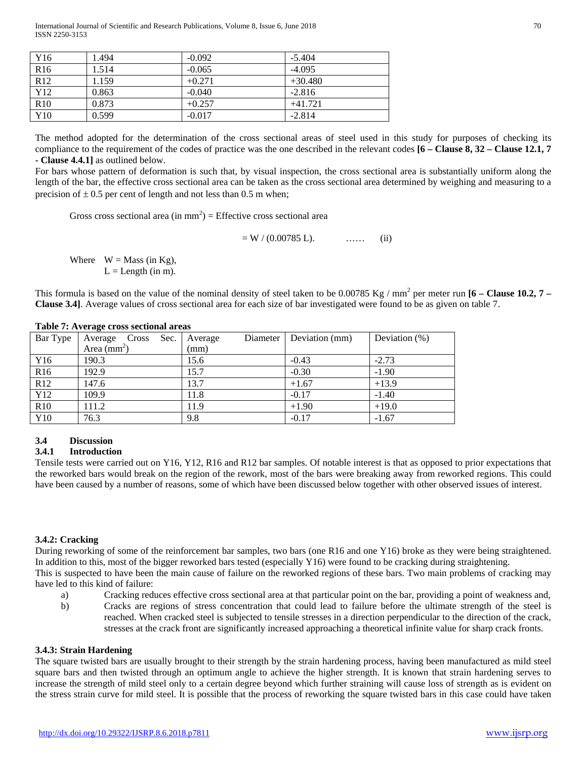International Journal of Scientific and Research Publications, Volume 8, Issue 6, June 2018 70 ISSN 2250-3153

| Y <sub>16</sub> | 1.494 | $-0.092$ | $-5.404$  |
|-----------------|-------|----------|-----------|
| R <sub>16</sub> | 1.514 | $-0.065$ | $-4.095$  |
| R12             | 1.159 | $+0.271$ | $+30.480$ |
| Y12             | 0.863 | $-0.040$ | $-2.816$  |
| R <sub>10</sub> | 0.873 | $+0.257$ | $+41.721$ |
| Y10             | 0.599 | $-0.017$ | $-2.814$  |

The method adopted for the determination of the cross sectional areas of steel used in this study for purposes of checking its compliance to the requirement of the codes of practice was the one described in the relevant codes **[6 – Clause 8, 32 – Clause 12.1, 7 - Clause 4.4.1]** as outlined below.

For bars whose pattern of deformation is such that, by visual inspection, the cross sectional area is substantially uniform along the length of the bar, the effective cross sectional area can be taken as the cross sectional area determined by weighing and measuring to a precision of  $\pm$  0.5 per cent of length and not less than 0.5 m when;

Gross cross sectional area (in  $mm<sup>2</sup>$ ) = Effective cross sectional area

 $= W / (0.00785 L).$  …… (ii)

Where  $W = Mass (in Kg)$ ,  $L =$ Length (in m).

This formula is based on the value of the nominal density of steel taken to be 0.00785 Kg / mm<sup>2</sup> per meter run  $[6 -$  **Clause 10.2, 7** – **Clause 3.4]**. Average values of cross sectional area for each size of bar investigated were found to be as given on table 7.

| Bar Type        | Average Cross<br>Sec. | Diameter<br>Average | Deviation (mm) | Deviation $(\%)$ |
|-----------------|-----------------------|---------------------|----------------|------------------|
|                 | Area $(mm2)$          | (mm)                |                |                  |
| Y <sub>16</sub> | 190.3                 | 15.6                | $-0.43$        | $-2.73$          |
| R <sub>16</sub> | 192.9                 | 15.7                | $-0.30$        | $-1.90$          |
| R12             | 147.6                 | 13.7                | $+1.67$        | $+13.9$          |
| Y12             | 109.9                 | 11.8                | $-0.17$        | $-1.40$          |
| R10             | 111.2                 | 11.9                | $+1.90$        | $+19.0$          |
| Y <sub>10</sub> | 76.3                  | 9.8                 | $-0.17$        | $-1.67$          |

#### **Table 7: Average cross sectional areas**

### **3.4 Discussion**

#### **3.4.1 Introduction**

Tensile tests were carried out on Y16, Y12, R16 and R12 bar samples. Of notable interest is that as opposed to prior expectations that the reworked bars would break on the region of the rework, most of the bars were breaking away from reworked regions. This could have been caused by a number of reasons, some of which have been discussed below together with other observed issues of interest.

#### **3.4.2: Cracking**

During reworking of some of the reinforcement bar samples, two bars (one R16 and one Y16) broke as they were being straightened. In addition to this, most of the bigger reworked bars tested (especially Y16) were found to be cracking during straightening. This is suspected to have been the main cause of failure on the reworked regions of these bars. Two main problems of cracking may have led to this kind of failure:

- a) Cracking reduces effective cross sectional area at that particular point on the bar, providing a point of weakness and,
- b) Cracks are regions of stress concentration that could lead to failure before the ultimate strength of the steel is reached. When cracked steel is subjected to tensile stresses in a direction perpendicular to the direction of the crack, stresses at the crack front are significantly increased approaching a theoretical infinite value for sharp crack fronts.

#### **3.4.3: Strain Hardening**

The square twisted bars are usually brought to their strength by the strain hardening process, having been manufactured as mild steel square bars and then twisted through an optimum angle to achieve the higher strength. It is known that strain hardening serves to increase the strength of mild steel only to a certain degree beyond which further straining will cause loss of strength as is evident on the stress strain curve for mild steel. It is possible that the process of reworking the square twisted bars in this case could have taken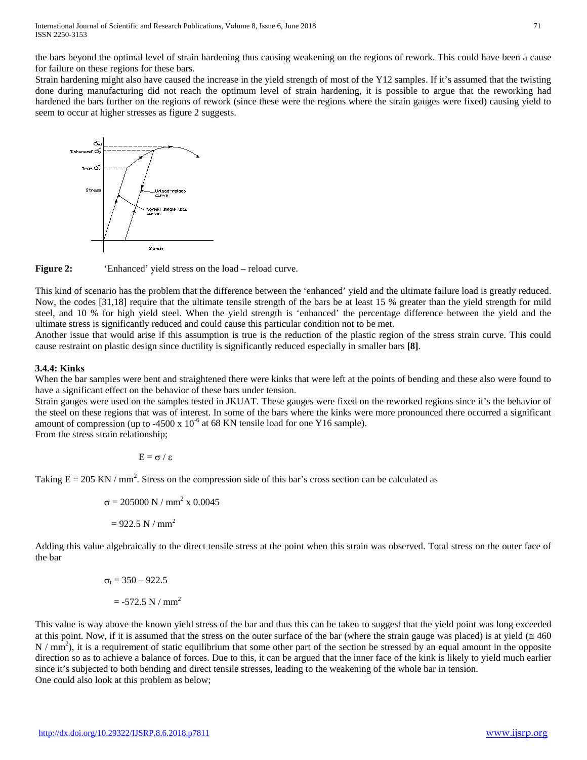the bars beyond the optimal level of strain hardening thus causing weakening on the regions of rework. This could have been a cause for failure on these regions for these bars.

Strain hardening might also have caused the increase in the yield strength of most of the Y12 samples. If it's assumed that the twisting done during manufacturing did not reach the optimum level of strain hardening, it is possible to argue that the reworking had hardened the bars further on the regions of rework (since these were the regions where the strain gauges were fixed) causing yield to seem to occur at higher stresses as figure 2 suggests.





This kind of scenario has the problem that the difference between the 'enhanced' yield and the ultimate failure load is greatly reduced. Now, the codes [31,18] require that the ultimate tensile strength of the bars be at least 15 % greater than the yield strength for mild steel, and 10 % for high yield steel. When the yield strength is 'enhanced' the percentage difference between the yield and the ultimate stress is significantly reduced and could cause this particular condition not to be met.

Another issue that would arise if this assumption is true is the reduction of the plastic region of the stress strain curve. This could cause restraint on plastic design since ductility is significantly reduced especially in smaller bars **[8]**.

### **3.4.4: Kinks**

When the bar samples were bent and straightened there were kinks that were left at the points of bending and these also were found to have a significant effect on the behavior of these bars under tension.

Strain gauges were used on the samples tested in JKUAT. These gauges were fixed on the reworked regions since it's the behavior of the steel on these regions that was of interest. In some of the bars where the kinks were more pronounced there occurred a significant amount of compression (up to -4500 x  $10^{-6}$  at 68 KN tensile load for one Y16 sample).

From the stress strain relationship;

$$
E=\sigma\,/\,\epsilon
$$

Taking  $E = 205 \text{ KN} / \text{mm}^2$ . Stress on the compression side of this bar's cross section can be calculated as

$$
\sigma = 205000 \text{ N} / \text{mm}^2 \text{ x } 0.0045
$$

$$
= 922.5 \text{ N} / \text{mm}^2
$$

Adding this value algebraically to the direct tensile stress at the point when this strain was observed. Total stress on the outer face of the bar

$$
\sigma_t = 350 - 922.5
$$

$$
= -572.5 \text{ N} / \text{mm}^2
$$

This value is way above the known yield stress of the bar and thus this can be taken to suggest that the yield point was long exceeded at this point. Now, if it is assumed that the stress on the outer surface of the bar (where the strain gauge was placed) is at yield ( $\leq 460$  $N / mm<sup>2</sup>$ ), it is a requirement of static equilibrium that some other part of the section be stressed by an equal amount in the opposite direction so as to achieve a balance of forces. Due to this, it can be argued that the inner face of the kink is likely to yield much earlier since it's subjected to both bending and direct tensile stresses, leading to the weakening of the whole bar in tension. One could also look at this problem as below;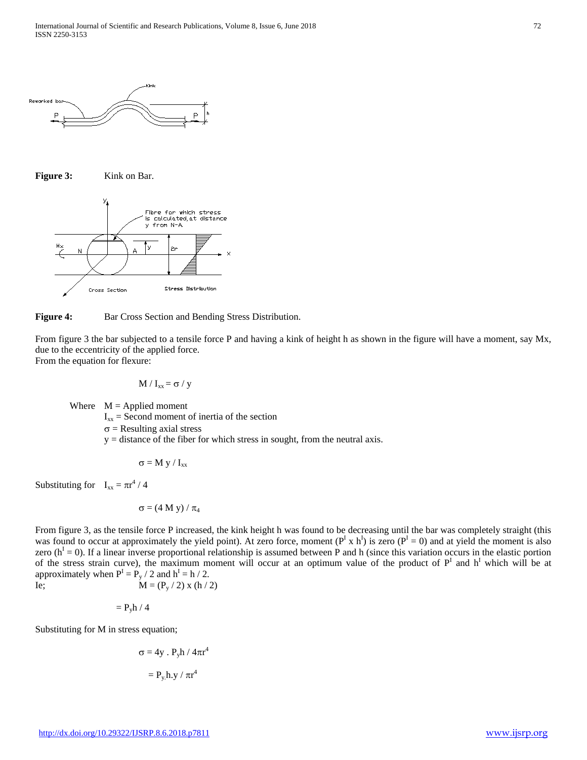





**Figure 4:** Bar Cross Section and Bending Stress Distribution.

From figure 3 the bar subjected to a tensile force P and having a kink of height h as shown in the figure will have a moment, say Mx, due to the eccentricity of the applied force. From the equation for flexure:

$$
M / I_{xx} = \sigma / y
$$

Where  $M =$  Applied moment

 $I_{xx}$  = Second moment of inertia of the section

 $\sigma$  = Resulting axial stress

 $y =$  distance of the fiber for which stress in sought, from the neutral axis.

$$
\sigma=M\ y\ /\ I_{xx}
$$

Substituting for  $I_{xx} = \pi r^4 / 4$ 

$$
\sigma = (4~M~y)~/~\pi_4
$$

From figure 3, as the tensile force P increased, the kink height h was found to be decreasing until the bar was completely straight (this was found to occur at approximately the yield point). At zero force, moment ( $P^I$  x h<sup>I</sup>) is zero ( $P^I$  = 0) and at yield the moment is also zero ( $h<sup>1</sup> = 0$ ). If a linear inverse proportional relationship is assumed between P and h (since this variation occurs in the elastic portion of the stress strain curve), the maximum moment will occur at an optimum value of the product of  $P<sup>I</sup>$  and  $h<sup>I</sup>$  which will be at approximately when  $P^I = P_y / 2$  and  $h^I = h / 2$ . Ie;  $M = (P_y / 2) x (h / 2)$ 

 $= P_v h / 4$ 

Substituting for M in stress equation;

$$
\sigma = 4y \cdot P_y h / 4\pi r^4
$$

$$
= P_y h.y / \pi r^4
$$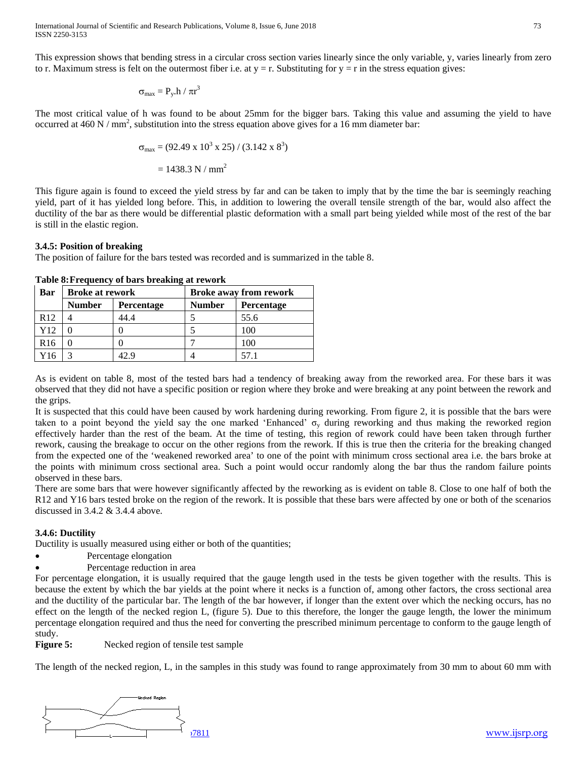International Journal of Scientific and Research Publications, Volume 8, Issue 6, June 2018 73 ISSN 2250-3153

$$
\sigma_{max} = P_y.h / \pi r^3
$$

The most critical value of h was found to be about 25mm for the bigger bars. Taking this value and assuming the yield to have occurred at 460 N / mm<sup>2</sup>, substitution into the stress equation above gives for a 16 mm diameter bar:

$$
\sigma_{\text{max}} = (92.49 \times 10^3 \times 25) / (3.142 \times 8^3)
$$

$$
= 1438.3 \text{ N} / \text{mm}^2
$$

This figure again is found to exceed the yield stress by far and can be taken to imply that by the time the bar is seemingly reaching yield, part of it has yielded long before. This, in addition to lowering the overall tensile strength of the bar, would also affect the ductility of the bar as there would be differential plastic deformation with a small part being yielded while most of the rest of the bar is still in the elastic region.

#### **3.4.5: Position of breaking**

The position of failure for the bars tested was recorded and is summarized in the table 8.

| Bar             | <b>Broke at rework</b> |                   | <b>Broke away from rework</b> |                   |  |
|-----------------|------------------------|-------------------|-------------------------------|-------------------|--|
|                 | <b>Number</b>          | <b>Percentage</b> | <b>Number</b>                 | <b>Percentage</b> |  |
| R12             |                        | 44.4              |                               | 55.6              |  |
| Y12             |                        |                   |                               | 100               |  |
| R <sub>16</sub> |                        |                   |                               | 100               |  |
| 716             |                        |                   |                               | 57.1              |  |

### **Table 8:Frequency of bars breaking at rework**

As is evident on table 8, most of the tested bars had a tendency of breaking away from the reworked area. For these bars it was observed that they did not have a specific position or region where they broke and were breaking at any point between the rework and the grips.

It is suspected that this could have been caused by work hardening during reworking. From figure 2, it is possible that the bars were taken to a point beyond the yield say the one marked 'Enhanced'  $\sigma_{v}$  during reworking and thus making the reworked region effectively harder than the rest of the beam. At the time of testing, this region of rework could have been taken through further rework, causing the breakage to occur on the other regions from the rework. If this is true then the criteria for the breaking changed from the expected one of the 'weakened reworked area' to one of the point with minimum cross sectional area i.e. the bars broke at the points with minimum cross sectional area. Such a point would occur randomly along the bar thus the random failure points observed in these bars.

There are some bars that were however significantly affected by the reworking as is evident on table 8. Close to one half of both the R12 and Y16 bars tested broke on the region of the rework. It is possible that these bars were affected by one or both of the scenarios discussed in 3.4.2 & 3.4.4 above.

### **3.4.6: Ductility**

Ductility is usually measured using either or both of the quantities;

- Percentage elongation
- Percentage reduction in area

For percentage elongation, it is usually required that the gauge length used in the tests be given together with the results. This is because the extent by which the bar yields at the point where it necks is a function of, among other factors, the cross sectional area and the ductility of the particular bar. The length of the bar however, if longer than the extent over which the necking occurs, has no effect on the length of the necked region L, (figure 5). Due to this therefore, the longer the gauge length, the lower the minimum percentage elongation required and thus the need for converting the prescribed minimum percentage to conform to the gauge length of study.

**Figure 5:** Necked region of tensile test sample

The length of the necked region, L, in the samples in this study was found to range approximately from 30 mm to about 60 mm with



[www.ijsrp.org](http://ijsrp.org/)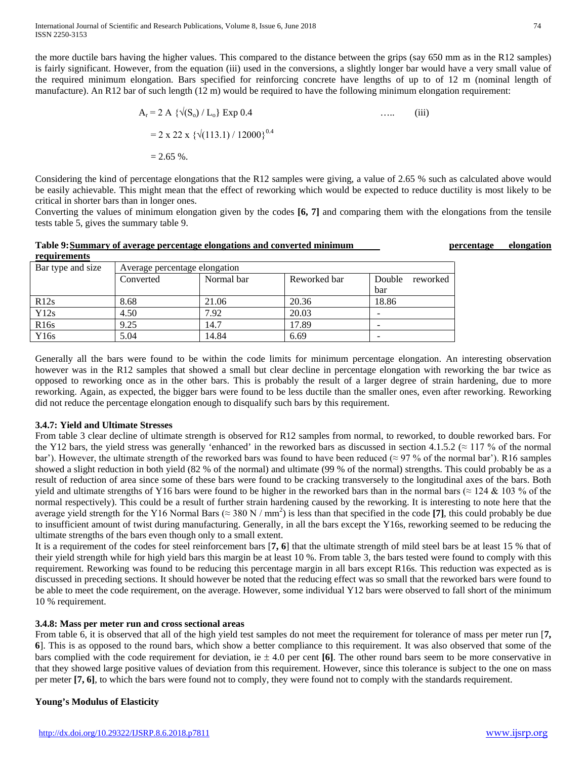International Journal of Scientific and Research Publications, Volume 8, Issue 6, June 2018 74 ISSN 2250-3153

the more ductile bars having the higher values. This compared to the distance between the grips (say 650 mm as in the R12 samples) is fairly significant. However, from the equation (iii) used in the conversions, a slightly longer bar would have a very small value of the required minimum elongation. Bars specified for reinforcing concrete have lengths of up to of 12 m (nominal length of manufacture). An R12 bar of such length (12 m) would be required to have the following minimum elongation requirement:

$$
A_r = 2 A \{ \sqrt{(S_o) / L_o} \} \exp 0.4 \qquad \qquad \dots \qquad \text{(iii)}
$$
  
= 2 x 22 x { $\sqrt{(113.1) / 12000} \}^{0.4}$   
= 2.65 %.

Considering the kind of percentage elongations that the R12 samples were giving, a value of 2.65 % such as calculated above would be easily achievable. This might mean that the effect of reworking which would be expected to reduce ductility is most likely to be critical in shorter bars than in longer ones.

Converting the values of minimum elongation given by the codes **[6, 7]** and comparing them with the elongations from the tensile tests table 5, gives the summary table 9.

### **Table 9:Summary of average percentage elongations and converted minimum percentage elongation**

| requirements      |                               |            |              |                    |  |  |
|-------------------|-------------------------------|------------|--------------|--------------------|--|--|
| Bar type and size | Average percentage elongation |            |              |                    |  |  |
|                   | Converted                     | Normal bar | Reworked bar | Double<br>reworked |  |  |
|                   |                               |            |              | bar                |  |  |
| R12s              | 8.68                          | 21.06      | 20.36        | 18.86              |  |  |
| Y12s              | 4.50                          | 7.92       | 20.03        | -                  |  |  |
| R <sub>16s</sub>  | 9.25                          | 14.7       | 17.89        | -                  |  |  |
| Y16s              | 5.04                          | 14.84      | 6.69         |                    |  |  |

Generally all the bars were found to be within the code limits for minimum percentage elongation. An interesting observation however was in the R12 samples that showed a small but clear decline in percentage elongation with reworking the bar twice as opposed to reworking once as in the other bars. This is probably the result of a larger degree of strain hardening, due to more reworking. Again, as expected, the bigger bars were found to be less ductile than the smaller ones, even after reworking. Reworking did not reduce the percentage elongation enough to disqualify such bars by this requirement.

### **3.4.7: Yield and Ultimate Stresses**

**requirements**

From table 3 clear decline of ultimate strength is observed for R12 samples from normal, to reworked, to double reworked bars. For the Y12 bars, the yield stress was generally 'enhanced' in the reworked bars as discussed in section 4.1.5.2 ( $\approx$  117 % of the normal bar'). However, the ultimate strength of the reworked bars was found to have been reduced ( $\approx$  97 % of the normal bar'). R16 samples showed a slight reduction in both yield (82 % of the normal) and ultimate (99 % of the normal) strengths. This could probably be as a result of reduction of area since some of these bars were found to be cracking transversely to the longitudinal axes of the bars. Both yield and ultimate strengths of Y16 bars were found to be higher in the reworked bars than in the normal bars ( $\approx$  124 & 103 % of the normal respectively). This could be a result of further strain hardening caused by the reworking. It is interesting to note here that the average yield strength for the Y16 Normal Bars ( $\approx 380$  N / mm<sup>2</sup>) is less than that specified in the code [7], this could probably be due to insufficient amount of twist during manufacturing. Generally, in all the bars except the Y16s, reworking seemed to be reducing the ultimate strengths of the bars even though only to a small extent.

It is a requirement of the codes for steel reinforcement bars [**7, 6**] that the ultimate strength of mild steel bars be at least 15 % that of their yield strength while for high yield bars this margin be at least 10 %. From table 3, the bars tested were found to comply with this requirement. Reworking was found to be reducing this percentage margin in all bars except R16s. This reduction was expected as is discussed in preceding sections. It should however be noted that the reducing effect was so small that the reworked bars were found to be able to meet the code requirement, on the average. However, some individual Y12 bars were observed to fall short of the minimum 10 % requirement.

### **3.4.8: Mass per meter run and cross sectional areas**

From table 6, it is observed that all of the high yield test samples do not meet the requirement for tolerance of mass per meter run [**7, 6**]. This is as opposed to the round bars, which show a better compliance to this requirement. It was also observed that some of the bars complied with the code requirement for deviation, ie ± 4.0 per cent **[6]**. The other round bars seem to be more conservative in that they showed large positive values of deviation from this requirement. However, since this tolerance is subject to the one on mass per meter **[7, 6]**, to which the bars were found not to comply, they were found not to comply with the standards requirement.

### **Young's Modulus of Elasticity**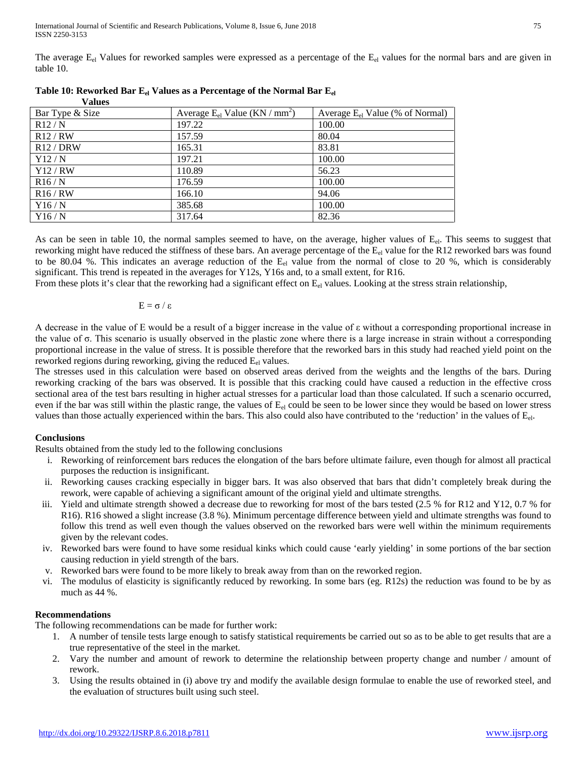The average  $E_{el}$  Values for reworked samples were expressed as a percentage of the  $E_{el}$  values for the normal bars and are given in table 10.

| v alues         |                                                |                                      |
|-----------------|------------------------------------------------|--------------------------------------|
| Bar Type & Size | Average $E_{el}$ Value (KN / mm <sup>2</sup> ) | Average $E_{el}$ Value (% of Normal) |
| R12/N           | 197.22                                         | 100.00                               |
| R12/RW          | 157.59                                         | 80.04                                |
| R12 / DRW       | 165.31                                         | 83.81                                |
| Y12/N           | 197.21                                         | 100.00                               |
| Y12/RW          | 110.89                                         | 56.23                                |
| R16/N           | 176.59                                         | 100.00                               |
| R16/RW          | 166.10                                         | 94.06                                |
| Y16/N           | 385.68                                         | 100.00                               |
| Y16/N           | 317.64                                         | 82.36                                |

 $V_0$ **lues** 

As can be seen in table 10, the normal samples seemed to have, on the average, higher values of  $E<sub>el</sub>$ . This seems to suggest that reworking might have reduced the stiffness of these bars. An average percentage of the  $E_{el}$  value for the R12 reworked bars was found to be 80.04 %. This indicates an average reduction of the  $E_{el}$  value from the normal of close to 20 %, which is considerably significant. This trend is repeated in the averages for Y12s, Y16s and, to a small extent, for R16.

From these plots it's clear that the reworking had a significant effect on  $E_{el}$  values. Looking at the stress strain relationship,

$$
E=\sigma\,/\,\epsilon
$$

A decrease in the value of E would be a result of a bigger increase in the value of ε without a corresponding proportional increase in the value of σ. This scenario is usually observed in the plastic zone where there is a large increase in strain without a corresponding proportional increase in the value of stress. It is possible therefore that the reworked bars in this study had reached yield point on the reworked regions during reworking, giving the reduced  $E_{el}$  values.

The stresses used in this calculation were based on observed areas derived from the weights and the lengths of the bars. During reworking cracking of the bars was observed. It is possible that this cracking could have caused a reduction in the effective cross sectional area of the test bars resulting in higher actual stresses for a particular load than those calculated. If such a scenario occurred, even if the bar was still within the plastic range, the values of  $E<sub>el</sub>$  could be seen to be lower since they would be based on lower stress values than those actually experienced within the bars. This also could also have contributed to the 'reduction' in the values of Eel.

### **Conclusions**

Results obtained from the study led to the following conclusions

- i. Reworking of reinforcement bars reduces the elongation of the bars before ultimate failure, even though for almost all practical purposes the reduction is insignificant.
- ii. Reworking causes cracking especially in bigger bars. It was also observed that bars that didn't completely break during the rework, were capable of achieving a significant amount of the original yield and ultimate strengths.
- iii. Yield and ultimate strength showed a decrease due to reworking for most of the bars tested (2.5 % for R12 and Y12, 0.7 % for R16). R16 showed a slight increase (3.8 %). Minimum percentage difference between yield and ultimate strengths was found to follow this trend as well even though the values observed on the reworked bars were well within the minimum requirements given by the relevant codes.
- iv. Reworked bars were found to have some residual kinks which could cause 'early yielding' in some portions of the bar section causing reduction in yield strength of the bars.
- v. Reworked bars were found to be more likely to break away from than on the reworked region.
- vi. The modulus of elasticity is significantly reduced by reworking. In some bars (eg. R12s) the reduction was found to be by as much as 44 %.

# **Recommendations**

The following recommendations can be made for further work:

- 1. A number of tensile tests large enough to satisfy statistical requirements be carried out so as to be able to get results that are a true representative of the steel in the market.
- 2. Vary the number and amount of rework to determine the relationship between property change and number / amount of rework.
- 3. Using the results obtained in (i) above try and modify the available design formulae to enable the use of reworked steel, and the evaluation of structures built using such steel.